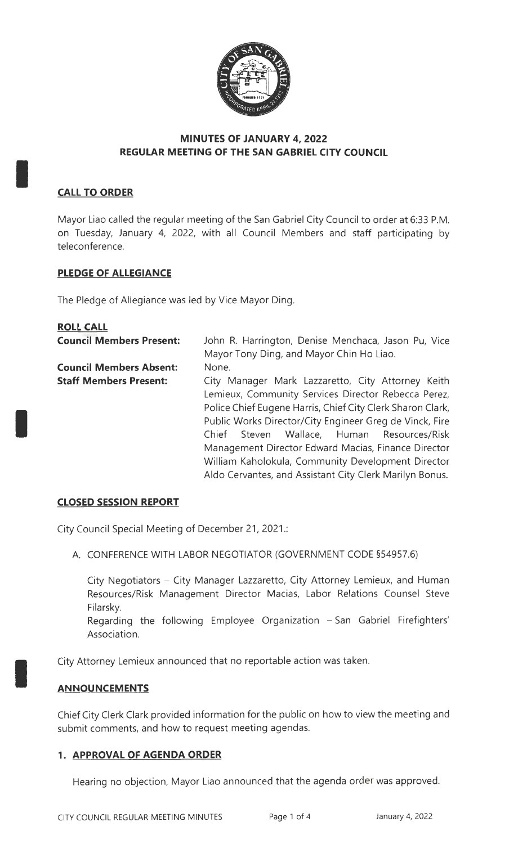

# **MINUTES OF JANUARY 4, 2022 REGULAR MEETING OF THE SAN GABRIEL CITY COUNCIL**

## **CALL TO ORDER**

I

I

I

Mayor Liao called the regular meeting of the San Gabriel City Council to order at 6:33 P.M. on Tuesday, January 4, 2022, with all Council Members and staff participating by teleconference.

### **PLEDGE OF ALLEGIANCE**

The Pledge of Allegiance was led by Vice Mayor Ding.

| <b>ROLL CALL</b>                |                                                            |
|---------------------------------|------------------------------------------------------------|
| <b>Council Members Present:</b> | John R. Harrington, Denise Menchaca, Jason Pu, Vice        |
|                                 | Mayor Tony Ding, and Mayor Chin Ho Liao.                   |
| <b>Council Members Absent:</b>  | None.                                                      |
| <b>Staff Members Present:</b>   | City Manager Mark Lazzaretto, City Attorney Keith          |
|                                 | Lemieux, Community Services Director Rebecca Perez,        |
|                                 | Police Chief Eugene Harris, Chief City Clerk Sharon Clark, |
|                                 | Public Works Director/City Engineer Greg de Vinck, Fire    |
|                                 | Steven Wallace, Human Resources/Risk<br>Chief              |
|                                 | Management Director Edward Macias, Finance Director        |
|                                 | William Kaholokula, Community Development Director         |
|                                 | Aldo Cervantes, and Assistant City Clerk Marilyn Bonus.    |

#### **CLOSED SESSION REPORT**

City Council Special Meeting of December 21, 2021 .:

A. CONFERENCE WITH LABOR NEGOTIATOR (GOVERNMENT CODE §54957.6)

City Negotiators - City Manager Lazzaretto, City Attorney Lemieux, and Human Resources/Risk Management Director Macias, Labor Relations Counsel Steve Filarsky.

Regarding the following Employee Organization - San Gabriel Firefighters' Association.

City Attorney Lemieux announced that no reportable action was taken.

#### **AN NOU NCEM ENTS**

Chief City Clerk Clark provided information for the public on how to view the meeting and submit comments, and how to request meeting agendas.

#### **1. APPROVAL OF AGENDA ORDER**

Hearing no objection, Mayor Liao announced that the agenda order was approved.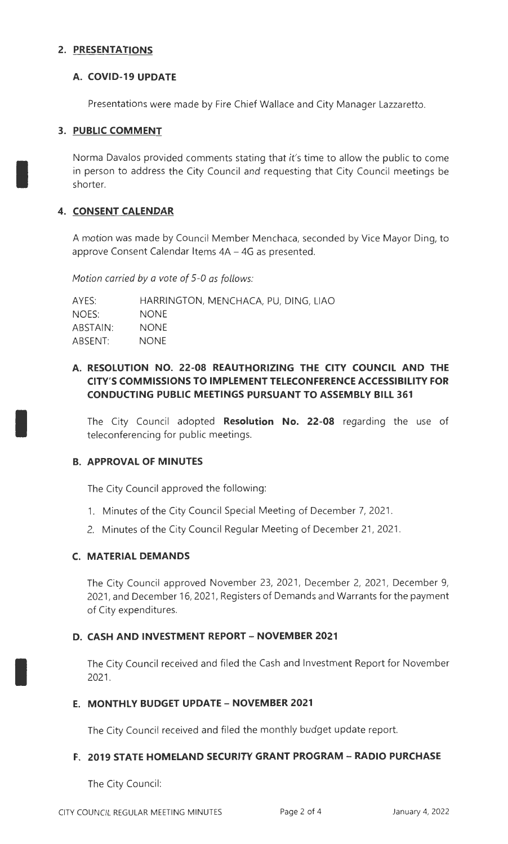### **2. PRESENTATIONS**

### **A. COVID-19 UPDATE**

Presentations were made by Fire Chief Wallace and City Manager Lazzaretto.

# **3. PUBLIC COMMENT**

I

I

I

Norma Davalos provided comments stating that it's time to allow the public to come in person to address the City Council and requesting that City Council meetings be shorter.

### **4. CONSENT CALENDAR**

A motion was made by Council Member Menchaca, seconded by Vice Mayor Ding, to approve Consent Calendar Items 4A - 4G as presented.

*Motion carried* by *a vote of* 5-0 *as follows:* 

| AYES:    | HARRINGTON, MENCHACA, PU, DING, LIAO |
|----------|--------------------------------------|
| NOES:    | NONE.                                |
| ABSTAIN: | NONE.                                |
| ABSENT:  | <b>NONE</b>                          |

# **A. RESOLUTION NO. 22-08 REAUTHORIZING THE CITY COUNCIL AND THE CITY'S COMMISSIONS TO IMPLEMENT TELECONFERENCE ACCESSIBILITY FOR CONDUCTING PUBLIC MEETINGS PURSUANT TO ASSEMBLY BILL 361**

The City Council adopted **Resolution No. 22-08** regarding the use of teleconferencing for public meetings.

#### **B. APPROVAL OF MINUTES**

The City Council approved the following:

- 1. Minutes of the City Council Special Meeting of December 7, 2021.
- 2. Minutes of the City Council Regular Meeting of December 21, 2021.

#### **C. MATERIAL DEMANDS**

The City Council approved November 23, 2021, December 2, 2021, December 9, 2021, and December 16, 2021, Registers of Demands and Warrants for the payment of City expenditures.

#### **D. CASH AND INVESTMENT REPORT- NOVEMBER 2021**

The City Council received and filed the Cash and Investment Report for November 2021.

#### **E. MONTHLY BUDGET UPDATE- NOVEMBER 2021**

The City Council received and filed the monthly budget update report.

#### **F. 2019 STATE HOMELAND SECURITY GRANT PROGRAM - RADIO PURCHASE**

The City Council: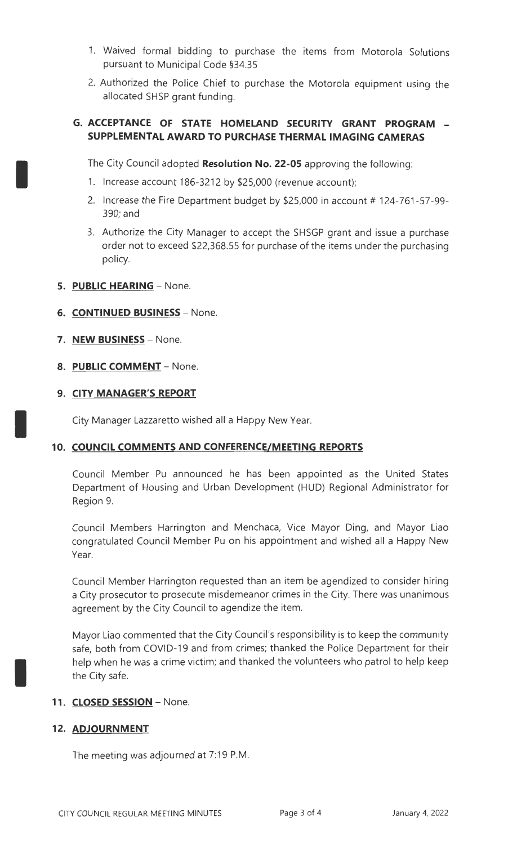- 1. Waived formal bidding to purchase the items from Motorola Solutions pursuant to Municipal Code §34.35
- 2. Authorized the Police Chief to purchase the Motorola equipment using the allocated SHSP grant funding.

# **G. ACCEPTANCE OF STATE HOMELAND SECURITY GRANT PROGRAM** - **SUPPLEMENTAL AWARD TO PURCHASE THERMAL IMAGING CAMERAS**

The City Council adopted Resolution No. 22-05 approving the following:

- 1. Increase account 186-3212 by \$25,000 (revenue account);
- 2. Increase the Fire Department budget by  $$25,000$  in account # 124-761-57-99-390; and
- 3. Authorize the City Manager to accept the SHSGP grant and issue a purchase order not to exceed \$22,368.55 for purchase of the items under the purchasing policy.
- **5. PUBLIC HEARING**  None.

I

I

I

- **6. CONTINUED BUSINESS**  None.
- **7. NEW BUSINESS**  None.
- **8. PUBLIC COMMENT**  None.

### **9. CITY MANAGER'S REPORT**

City Manager Lazzaretto wished all a Happy New Year.

# 10. COUNCIL COMMENTS AND CONFERENCE/MEETING REPORTS

Council Member Pu announced he has been appointed as the United States Department of Housing and Urban Development (HUD) Regional Administrator for Region 9.

Council Members Harrington and Menchaca, Vice Mayor Ding, and Mayor Liao congratulated Council Member Pu on his appointment and wished all a Happy New Year.

Council Member Harrington requested than an item be agendized to consider hiring a City prosecutor to prosecute misdemeanor crimes in the City. There was unanimous agreement by the City Council to agendize the item.

Mayor Liao commented that the City Council's responsibility is to keep the community safe, both from COVID-19 and from crimes; thanked the Police Department for their help when he was a crime victim; and thanked the volunteers who patrol to help keep the City safe.

#### 11. **CLOSED SESSION** - None.

# **12. ADJOURNMENT**

The meeting was adjourned at 7:19 P.M.